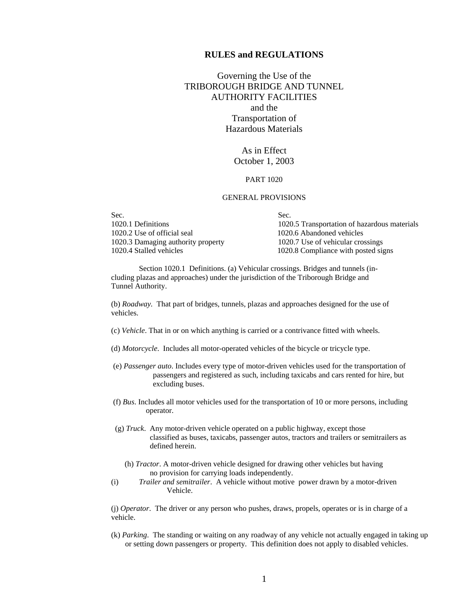# **RULES and REGULATIONS**

Governing the Use of the TRIBOROUGH BRIDGE AND TUNNEL AUTHORITY FACILITIES and the Transportation of Hazardous Materials

> As in Effect October 1, 2003

## PART 1020

## GENERAL PROVISIONS

| Sec.                               | Sec.                                         |
|------------------------------------|----------------------------------------------|
| 1020.1 Definitions                 | 1020.5 Transportation of hazardous materials |
| 1020.2 Use of official seal        | 1020.6 Abandoned vehicles                    |
| 1020.3 Damaging authority property | 1020.7 Use of vehicular crossings            |
| 1020.4 Stalled vehicles            | 1020.8 Compliance with posted signs          |

 Section 1020.1 Definitions. (a) Vehicular crossings. Bridges and tunnels (including plazas and approaches) under the jurisdiction of the Triborough Bridge and Tunnel Authority.

(b) *Roadway.* That part of bridges, tunnels, plazas and approaches designed for the use of vehicles.

- (c) *Vehicle*. That in or on which anything is carried or a contrivance fitted with wheels.
- (d) *Motorcycle*. Includes all motor-operated vehicles of the bicycle or tricycle type.
- (e) *Passenger auto*. Includes every type of motor-driven vehicles used for the transportation of passengers and registered as such, including taxicabs and cars rented for hire, but excluding buses.
- (f) *Bus*. Includes all motor vehicles used for the transportation of 10 or more persons, including operator.
- (g) *Truck*. Any motor-driven vehicle operated on a public highway, except those classified as buses, taxicabs, passenger autos, tractors and trailers or semitrailers as defined herein.
	- (h) *Tractor*. A motor-driven vehicle designed for drawing other vehicles but having no provision for carrying loads independently.
- (i) *Trailer and semitrailer*. A vehicle without motive power drawn by a motor-driven Vehicle.

(j) *Operator*. The driver or any person who pushes, draws, propels, operates or is in charge of a vehicle.

(k) *Parking*. The standing or waiting on any roadway of any vehicle not actually engaged in taking up or setting down passengers or property. This definition does not apply to disabled vehicles.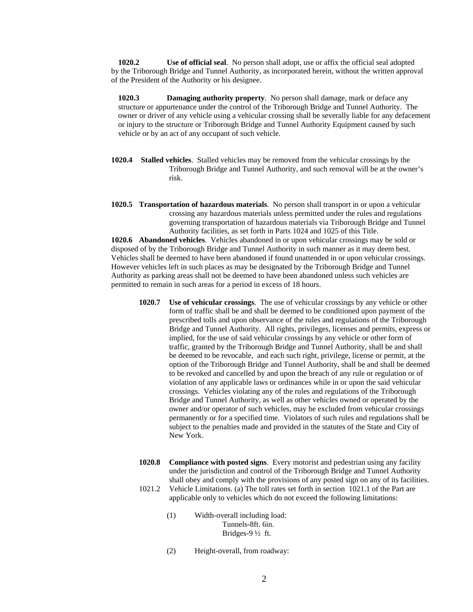**1020.2 Use of official seal**. No person shall adopt, use or affix the official seal adopted by the Triborough Bridge and Tunnel Authority, as incorporated herein, without the written approval of the President of the Authority or his designee.

**1020.3 Damaging authority property**. No person shall damage, mark or deface any structure or appurtenance under the control of the Triborough Bridge and Tunnel Authority. The owner or driver of any vehicle using a vehicular crossing shall be severally liable for any defacement or injury to the structure or Triborough Bridge and Tunnel Authority Equipment caused by such vehicle or by an act of any occupant of such vehicle.

- **1020.4 Stalled vehicles**. Stalled vehicles may be removed from the vehicular crossings by the Triborough Bridge and Tunnel Authority, and such removal will be at the owner's risk.
- **1020.5 Transportation of hazardous materials**. No person shall transport in or upon a vehicular crossing any hazardous materials unless permitted under the rules and regulations governing transportation of hazardous materials via Triborough Bridge and Tunnel Authority facilities, as set forth in Parts 1024 and 1025 of this Title.

**1020.6 Abandoned vehicles**. Vehicles abandoned in or upon vehicular crossings may be sold or disposed of by the Triborough Bridge and Tunnel Authority in such manner as it may deem best. Vehicles shall be deemed to have been abandoned if found unattended in or upon vehicular crossings. However vehicles left in such places as may be designated by the Triborough Bridge and Tunnel Authority as parking areas shall not be deemed to have been abandoned unless such vehicles are permitted to remain in such areas for a period in excess of 18 hours.

- **1020.7 Use of vehicular crossings**. The use of vehicular crossings by any vehicle or other form of traffic shall be and shall be deemed to be conditioned upon payment of the prescribed tolls and upon observance of the rules and regulations of the Triborough Bridge and Tunnel Authority. All rights, privileges, licenses and permits, express or implied, for the use of said vehicular crossings by any vehicle or other form of traffic, granted by the Triborough Bridge and Tunnel Authority, shall be and shall be deemed to be revocable, and each such right, privilege, license or permit, at the option of the Triborough Bridge and Tunnel Authority, shall be and shall be deemed to be revoked and cancelled by and upon the breach of any rule or regulation or of violation of any applicable laws or ordinances while in or upon the said vehicular crossings. Vehicles violating any of the rules and regulations of the Triborough Bridge and Tunnel Authority, as well as other vehicles owned or operated by the owner and/or operator of such vehicles, may be excluded from vehicular crossings permanently or for a specified time. Violators of such rules and regulations shall be subject to the penalties made and provided in the statutes of the State and City of New York.
- **1020.8 Compliance with posted signs**. Every motorist and pedestrian using any facility under the jurisdiction and control of the Triborough Bridge and Tunnel Authority shall obey and comply with the provisions of any posted sign on any of its facilities. 1021.2 Vehicle Limitations. (a) The toll rates set forth in section 1021.1 of the Part are
	- applicable only to vehicles which do not exceed the following limitations:
		- (1) Width-overall including load: Tunnels-8ft. 6in. Bridges-9 ½ ft.
		- (2) Height-overall, from roadway: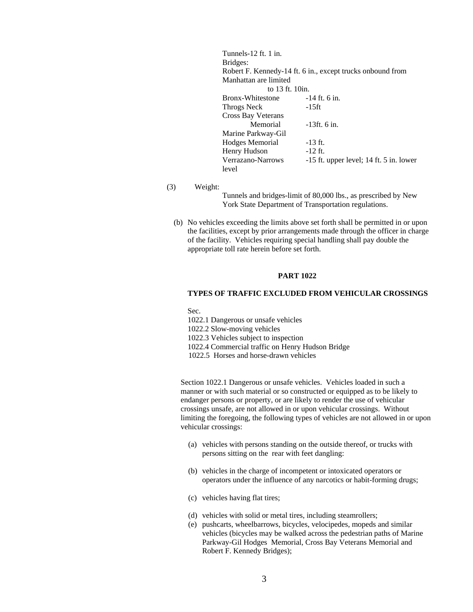| Tunnels-12 ft. 1 in.  |                                                            |  |
|-----------------------|------------------------------------------------------------|--|
| Bridges:              |                                                            |  |
|                       | Robert F. Kennedy-14 ft. 6 in., except trucks onbound from |  |
| Manhattan are limited |                                                            |  |
| to 13 ft. 10in.       |                                                            |  |
| Bronx-Whitestone      | $-14$ ft. 6 in.                                            |  |
| Throgs Neck           | -15ft                                                      |  |
| Cross Bay Veterans    |                                                            |  |
| Memorial              | $-13$ ft. 6 in.                                            |  |
| Marine Parkway-Gil    |                                                            |  |
| Hodges Memorial       | $-13$ ft.                                                  |  |
| Henry Hudson          | $-12$ ft.                                                  |  |
| Verrazano-Narrows     | $-15$ ft. upper level; 14 ft. 5 in. lower                  |  |
| level                 |                                                            |  |

(3) Weight:

Tunnels and bridges-limit of 80,000 lbs., as prescribed by New York State Department of Transportation regulations.

(b) No vehicles exceeding the limits above set forth shall be permitted in or upon the facilities, except by prior arrangements made through the officer in charge of the facility. Vehicles requiring special handling shall pay double the appropriate toll rate herein before set forth.

## **PART 1022**

## **TYPES OF TRAFFIC EXCLUDED FROM VEHICULAR CROSSINGS**

Sec.

1022.1 Dangerous or unsafe vehicles

1022.2 Slow-moving vehicles

1022.3 Vehicles subject to inspection

1022.4 Commercial traffic on Henry Hudson Bridge

1022.5 Horses and horse-drawn vehicles

Section 1022.1 Dangerous or unsafe vehicles. Vehicles loaded in such a manner or with such material or so constructed or equipped as to be likely to endanger persons or property, or are likely to render the use of vehicular crossings unsafe, are not allowed in or upon vehicular crossings. Without limiting the foregoing, the following types of vehicles are not allowed in or upon vehicular crossings:

- (a) vehicles with persons standing on the outside thereof, or trucks with persons sitting on the rear with feet dangling:
- (b) vehicles in the charge of incompetent or intoxicated operators or operators under the influence of any narcotics or habit-forming drugs;
- (c) vehicles having flat tires;
- (d) vehicles with solid or metal tires, including steamrollers;
- (e) pushcarts, wheelbarrows, bicycles, velocipedes, mopeds and similar vehicles (bicycles may be walked across the pedestrian paths of Marine Parkway-Gil Hodges Memorial, Cross Bay Veterans Memorial and Robert F. Kennedy Bridges);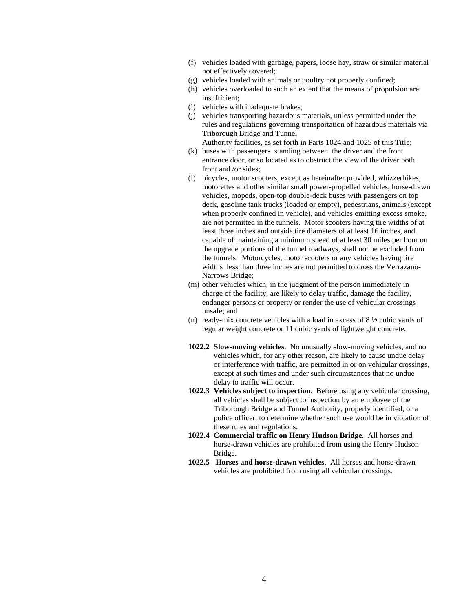- (f) vehicles loaded with garbage, papers, loose hay, straw or similar material not effectively covered;
- (g) vehicles loaded with animals or poultry not properly confined;
- (h) vehicles overloaded to such an extent that the means of propulsion are insufficient;
- (i) vehicles with inadequate brakes;
- (j) vehicles transporting hazardous materials, unless permitted under the rules and regulations governing transportation of hazardous materials via Triborough Bridge and Tunnel Authority facilities, as set forth in Parts 1024 and 1025 of this Title;
- (k) buses with passengers standing between the driver and the front entrance door, or so located as to obstruct the view of the driver both front and /or sides;
- (l) bicycles, motor scooters, except as hereinafter provided, whizzerbikes, motorettes and other similar small power-propelled vehicles, horse-drawn vehicles, mopeds, open-top double-deck buses with passengers on top deck, gasoline tank trucks (loaded or empty), pedestrians, animals (except when properly confined in vehicle), and vehicles emitting excess smoke, are not permitted in the tunnels. Motor scooters having tire widths of at least three inches and outside tire diameters of at least 16 inches, and capable of maintaining a minimum speed of at least 30 miles per hour on the upgrade portions of the tunnel roadways, shall not be excluded from the tunnels. Motorcycles, motor scooters or any vehicles having tire widths less than three inches are not permitted to cross the Verrazano-Narrows Bridge;
- (m) other vehicles which, in the judgment of the person immediately in charge of the facility, are likely to delay traffic, damage the facility, endanger persons or property or render the use of vehicular crossings unsafe; and
- (n) ready-mix concrete vehicles with a load in excess of  $8\frac{1}{2}$  cubic yards of regular weight concrete or 11 cubic yards of lightweight concrete.
- **1022.2 Slow-moving vehicles**. No unusually slow-moving vehicles, and no vehicles which, for any other reason, are likely to cause undue delay or interference with traffic, are permitted in or on vehicular crossings, except at such times and under such circumstances that no undue delay to traffic will occur.
- **1022.3 Vehicles subject to inspection**. Before using any vehicular crossing, all vehicles shall be subject to inspection by an employee of the Triborough Bridge and Tunnel Authority, properly identified, or a police officer, to determine whether such use would be in violation of these rules and regulations.
- **1022.4 Commercial traffic on Henry Hudson Bridge**. All horses and horse-drawn vehicles are prohibited from using the Henry Hudson Bridge.
- **1022.5 Horses and horse-drawn vehicles**. All horses and horse-drawn vehicles are prohibited from using all vehicular crossings.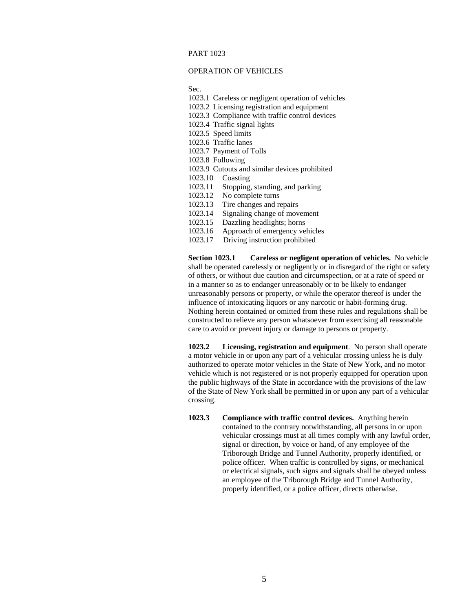# PART 1023

#### OPERATION OF VEHICLES

Sec.

- 1023.1 Careless or negligent operation of vehicles
- 1023.2 Licensing registration and equipment
- 1023.3 Compliance with traffic control devices
- 1023.4 Traffic signal lights
- 1023.5 Speed limits
- 1023.6 Traffic lanes
- 1023.7 Payment of Tolls
- 1023.8 Following
- 1023.9 Cutouts and similar devices prohibited
- 1023.10 Coasting
- 1023.11 Stopping, standing, and parking
- 1023.12 No complete turns
- 1023.13 Tire changes and repairs
- 1023.14 Signaling change of movement
- 1023.15 Dazzling headlights; horns
- 1023.16 Approach of emergency vehicles
- 1023.17 Driving instruction prohibited

**Section 1023.1 Careless or negligent operation of vehicles.** No vehicle shall be operated carelessly or negligently or in disregard of the right or safety of others, or without due caution and circumspection, or at a rate of speed or in a manner so as to endanger unreasonably or to be likely to endanger unreasonably persons or property, or while the operator thereof is under the influence of intoxicating liquors or any narcotic or habit-forming drug. Nothing herein contained or omitted from these rules and regulations shall be constructed to relieve any person whatsoever from exercising all reasonable care to avoid or prevent injury or damage to persons or property.

**1023.2 Licensing, registration and equipment**. No person shall operate a motor vehicle in or upon any part of a vehicular crossing unless he is duly authorized to operate motor vehicles in the State of New York, and no motor vehicle which is not registered or is not properly equipped for operation upon the public highways of the State in accordance with the provisions of the law of the State of New York shall be permitted in or upon any part of a vehicular crossing.

**1023.3 Compliance with traffic control devices.** Anything herein contained to the contrary notwithstanding, all persons in or upon vehicular crossings must at all times comply with any lawful order, signal or direction, by voice or hand, of any employee of the Triborough Bridge and Tunnel Authority, properly identified, or police officer. When traffic is controlled by signs, or mechanical or electrical signals, such signs and signals shall be obeyed unless an employee of the Triborough Bridge and Tunnel Authority, properly identified, or a police officer, directs otherwise.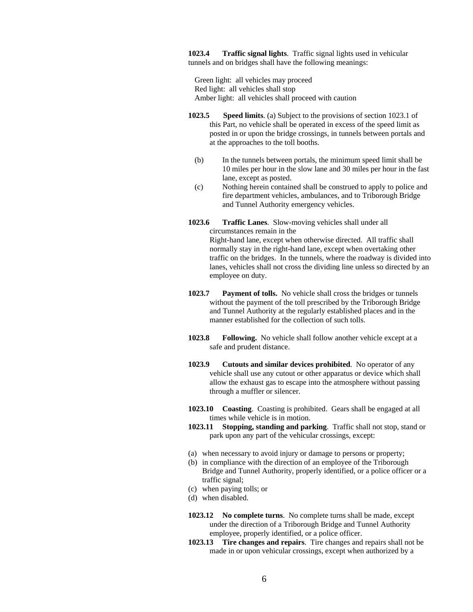**1023.4 Traffic signal lights**. Traffic signal lights used in vehicular tunnels and on bridges shall have the following meanings:

 Green light: all vehicles may proceed Red light: all vehicles shall stop Amber light: all vehicles shall proceed with caution

- **1023.5 Speed limits**. (a) Subject to the provisions of section 1023.1 of this Part, no vehicle shall be operated in excess of the speed limit as posted in or upon the bridge crossings, in tunnels between portals and at the approaches to the toll booths.
	- (b) In the tunnels between portals, the minimum speed limit shall be 10 miles per hour in the slow lane and 30 miles per hour in the fast lane, except as posted.
	- (c) Nothing herein contained shall be construed to apply to police and fire department vehicles, ambulances, and to Triborough Bridge and Tunnel Authority emergency vehicles.
- **1023.6 Traffic Lanes**. Slow-moving vehicles shall under all circumstances remain in the

Right-hand lane, except when otherwise directed. All traffic shall normally stay in the right-hand lane, except when overtaking other traffic on the bridges. In the tunnels, where the roadway is divided into lanes, vehicles shall not cross the dividing line unless so directed by an employee on duty.

- **1023.7 Payment of tolls.** No vehicle shall cross the bridges or tunnels without the payment of the toll prescribed by the Triborough Bridge and Tunnel Authority at the regularly established places and in the manner established for the collection of such tolls.
- **1023.8 Following.** No vehicle shall follow another vehicle except at a safe and prudent distance.
- **1023.9 Cutouts and similar devices prohibited**. No operator of any vehicle shall use any cutout or other apparatus or device which shall allow the exhaust gas to escape into the atmosphere without passing through a muffler or silencer.
- **1023.10 Coasting**. Coasting is prohibited. Gears shall be engaged at all times while vehicle is in motion.
- **1023.11 Stopping, standing and parking**. Traffic shall not stop, stand or park upon any part of the vehicular crossings, except:
- (a) when necessary to avoid injury or damage to persons or property;
- (b) in compliance with the direction of an employee of the Triborough Bridge and Tunnel Authority, properly identified, or a police officer or a traffic signal;
- (c) when paying tolls; or
- (d) when disabled.
- **1023.12 No complete turns**. No complete turns shall be made, except under the direction of a Triborough Bridge and Tunnel Authority employee, properly identified, or a police officer.
- **1023.13 Tire changes and repairs**. Tire changes and repairs shall not be made in or upon vehicular crossings, except when authorized by a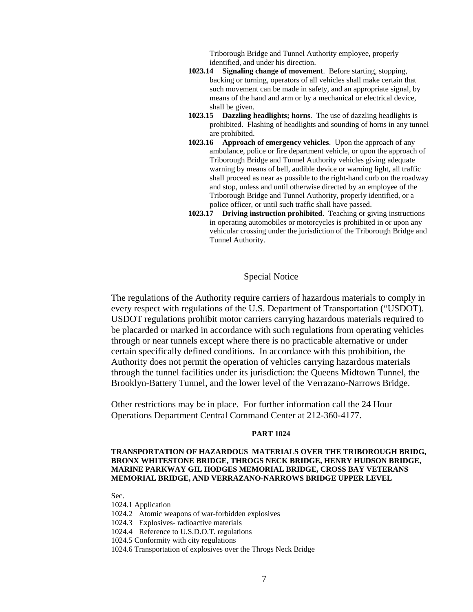Triborough Bridge and Tunnel Authority employee, properly identified, and under his direction.

- **1023.14 Signaling change of movement**. Before starting, stopping, backing or turning, operators of all vehicles shall make certain that such movement can be made in safety, and an appropriate signal, by means of the hand and arm or by a mechanical or electrical device, shall be given.
- **1023.15 Dazzling headlights; horns**. The use of dazzling headlights is prohibited. Flashing of headlights and sounding of horns in any tunnel are prohibited.
- **1023.16 Approach of emergency vehicles**. Upon the approach of any ambulance, police or fire department vehicle, or upon the approach of Triborough Bridge and Tunnel Authority vehicles giving adequate warning by means of bell, audible device or warning light, all traffic shall proceed as near as possible to the right-hand curb on the roadway and stop, unless and until otherwise directed by an employee of the Triborough Bridge and Tunnel Authority, properly identified, or a police officer, or until such traffic shall have passed.
- **1023.17 Driving instruction prohibited**. Teaching or giving instructions in operating automobiles or motorcycles is prohibited in or upon any vehicular crossing under the jurisdiction of the Triborough Bridge and Tunnel Authority.

# Special Notice

The regulations of the Authority require carriers of hazardous materials to comply in every respect with regulations of the U.S. Department of Transportation ("USDOT). USDOT regulations prohibit motor carriers carrying hazardous materials required to be placarded or marked in accordance with such regulations from operating vehicles through or near tunnels except where there is no practicable alternative or under certain specifically defined conditions. In accordance with this prohibition, the Authority does not permit the operation of vehicles carrying hazardous materials through the tunnel facilities under its jurisdiction: the Queens Midtown Tunnel, the Brooklyn-Battery Tunnel, and the lower level of the Verrazano-Narrows Bridge.

Other restrictions may be in place. For further information call the 24 Hour Operations Department Central Command Center at 212-360-4177.

## **PART 1024**

# **TRANSPORTATION OF HAZARDOUS MATERIALS OVER THE TRIBOROUGH BRIDG, BRONX WHITESTONE BRIDGE, THROGS NECK BRIDGE, HENRY HUDSON BRIDGE, MARINE PARKWAY GIL HODGES MEMORIAL BRIDGE, CROSS BAY VETERANS MEMORIAL BRIDGE, AND VERRAZANO-NARROWS BRIDGE UPPER LEVEL**

Sec.

- 1024.1 Application
- 1024.2 Atomic weapons of war-forbidden explosives
- 1024.3 Explosives- radioactive materials
- 1024.4 Reference to U.S.D.O.T. regulations
- 1024.5 Conformity with city regulations
- 1024.6 Transportation of explosives over the Throgs Neck Bridge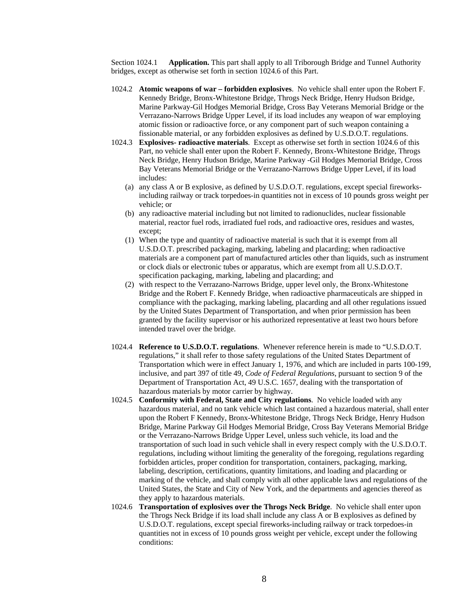Section 1024.1 **Application.** This part shall apply to all Triborough Bridge and Tunnel Authority bridges, except as otherwise set forth in section 1024.6 of this Part.

- 1024.2 **Atomic weapons of war forbidden explosives**. No vehicle shall enter upon the Robert F. Kennedy Bridge, Bronx-Whitestone Bridge, Throgs Neck Bridge, Henry Hudson Bridge, Marine Parkway-Gil Hodges Memorial Bridge, Cross Bay Veterans Memorial Bridge or the Verrazano-Narrows Bridge Upper Level, if its load includes any weapon of war employing atomic fission or radioactive force, or any component part of such weapon containing a fissionable material, or any forbidden explosives as defined by U.S.D.O.T. regulations.
- 1024.3 **Explosives- radioactive materials**. Except as otherwise set forth in section 1024.6 of this Part, no vehicle shall enter upon the Robert F. Kennedy, Bronx-Whitestone Bridge, Throgs Neck Bridge, Henry Hudson Bridge, Marine Parkway -Gil Hodges Memorial Bridge, Cross Bay Veterans Memorial Bridge or the Verrazano-Narrows Bridge Upper Level, if its load includes:
	- (a) any class A or B explosive, as defined by U.S.D.O.T. regulations, except special fireworksincluding railway or track torpedoes-in quantities not in excess of 10 pounds gross weight per vehicle; or
	- (b) any radioactive material including but not limited to radionuclides, nuclear fissionable material, reactor fuel rods, irradiated fuel rods, and radioactive ores, residues and wastes, except;
	- (1) When the type and quantity of radioactive material is such that it is exempt from all U.S.D.O.T. prescribed packaging, marking, labeling and placarding; when radioactive materials are a component part of manufactured articles other than liquids, such as instrument or clock dials or electronic tubes or apparatus, which are exempt from all U.S.D.O.T. specification packaging, marking, labeling and placarding; and
	- (2) with respect to the Verrazano-Narrows Bridge, upper level only, the Bronx-Whitestone Bridge and the Robert F. Kennedy Bridge, when radioactive pharmaceuticals are shipped in compliance with the packaging, marking labeling, placarding and all other regulations issued by the United States Department of Transportation, and when prior permission has been granted by the facility supervisor or his authorized representative at least two hours before intended travel over the bridge.
- 1024.4 **Reference to U.S.D.O.T. regulations**. Whenever reference herein is made to "U.S.D.O.T. regulations," it shall refer to those safety regulations of the United States Department of Transportation which were in effect January 1, 1976, and which are included in parts 100-199, inclusive, and part 397 of title 49, *Code of Federal Regulations*, pursuant to section 9 of the Department of Transportation Act, 49 U.S.C. 1657, dealing with the transportation of hazardous materials by motor carrier by highway.
- 1024.5 **Conformity with Federal, State and City regulations**. No vehicle loaded with any hazardous material, and no tank vehicle which last contained a hazardous material, shall enter upon the Robert F Kennedy, Bronx-Whitestone Bridge, Throgs Neck Bridge, Henry Hudson Bridge, Marine Parkway Gil Hodges Memorial Bridge, Cross Bay Veterans Memorial Bridge or the Verrazano-Narrows Bridge Upper Level, unless such vehicle, its load and the transportation of such load in such vehicle shall in every respect comply with the U.S.D.O.T. regulations, including without limiting the generality of the foregoing, regulations regarding forbidden articles, proper condition for transportation, containers, packaging, marking, labeling, description, certifications, quantity limitations, and loading and placarding or marking of the vehicle, and shall comply with all other applicable laws and regulations of the United States, the State and City of New York, and the departments and agencies thereof as they apply to hazardous materials.
- 1024.6 **Transportation of explosives over the Throgs Neck Bridge**. No vehicle shall enter upon the Throgs Neck Bridge if its load shall include any class A or B explosives as defined by U.S.D.O.T. regulations, except special fireworks-including railway or track torpedoes-in quantities not in excess of 10 pounds gross weight per vehicle, except under the following conditions: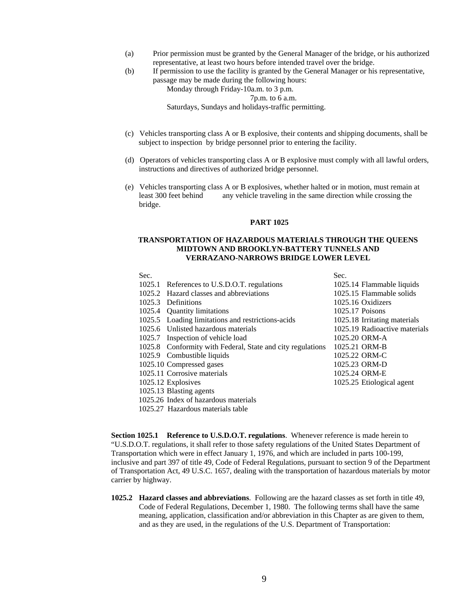- (a) Prior permission must be granted by the General Manager of the bridge, or his authorized representative, at least two hours before intended travel over the bridge.
- (b) If permission to use the facility is granted by the General Manager or his representative, passage may be made during the following hours:

Monday through Friday-10a.m. to 3 p.m.

7p.m. to 6 a.m.

Saturdays, Sundays and holidays-traffic permitting.

- (c) Vehicles transporting class A or B explosive, their contents and shipping documents, shall be subject to inspection by bridge personnel prior to entering the facility.
- (d) Operators of vehicles transporting class A or B explosive must comply with all lawful orders, instructions and directives of authorized bridge personnel.
- (e) Vehicles transporting class A or B explosives, whether halted or in motion, must remain at least 300 feet behind any vehicle traveling in the same direction while crossing the bridge.

#### **PART 1025**

## **TRANSPORTATION OF HAZARDOUS MATERIALS THROUGH THE QUEENS MIDTOWN AND BROOKLYN-BATTERY TUNNELS AND VERRAZANO-NARROWS BRIDGE LOWER LEVEL**

| Sec. |                                                            | Sec.                          |
|------|------------------------------------------------------------|-------------------------------|
|      | 1025.1 References to U.S.D.O.T. regulations                | 1025.14 Flammable liquids     |
|      | 1025.2 Hazard classes and abbreviations                    | 1025.15 Flammable solids      |
|      | 1025.3 Definitions                                         | 1025.16 Oxidizers             |
|      | 1025.4 Quantity limitations                                | 1025.17 Poisons               |
|      | 1025.5 Loading limitations and restrictions-acids          | 1025.18 Irritating materials  |
|      | 1025.6 Unlisted hazardous materials                        | 1025.19 Radioactive materials |
|      | 1025.7 Inspection of vehicle load                          | 1025.20 ORM-A                 |
|      | 1025.8 Conformity with Federal, State and city regulations | 1025.21 ORM-B                 |
|      | 1025.9 Combustible liquids                                 | 1025.22 ORM-C                 |
|      | 1025.10 Compressed gases                                   | 1025.23 ORM-D                 |
|      | 1025.11 Corrosive materials                                | 1025.24 ORM-E                 |
|      | 1025.12 Explosives                                         | 1025.25 Etiological agent     |
|      | 1025.13 Blasting agents                                    |                               |
|      | 1025.26 Index of hazardous materials                       |                               |
|      | 1025.27 Hazardous materials table                          |                               |

**Section 1025.1 Reference to U.S.D.O.T. regulations**. Whenever reference is made herein to "U.S.D.O.T. regulations, it shall refer to those safety regulations of the United States Department of Transportation which were in effect January 1, 1976, and which are included in parts 100-199, inclusive and part 397 of title 49, Code of Federal Regulations, pursuant to section 9 of the Department of Transportation Act, 49 U.S.C. 1657, dealing with the transportation of hazardous materials by motor carrier by highway.

**1025.2 Hazard classes and abbreviations**. Following are the hazard classes as set forth in title 49, Code of Federal Regulations, December 1, 1980. The following terms shall have the same meaning, application, classification and/or abbreviation in this Chapter as are given to them, and as they are used, in the regulations of the U.S. Department of Transportation: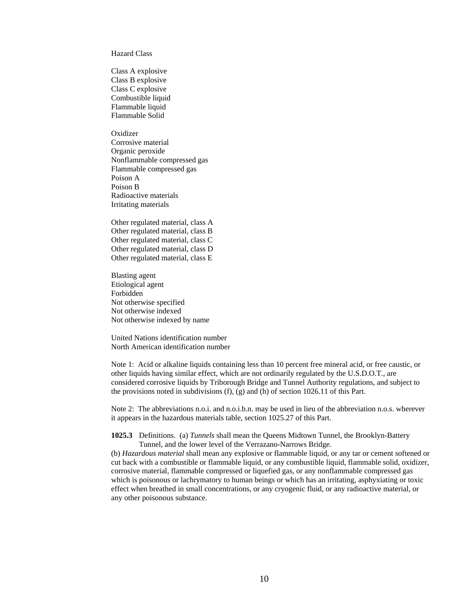Hazard Class

Class A explosive Class B explosive Class C explosive Combustible liquid Flammable liquid Flammable Solid

**Oxidizer** Corrosive material Organic peroxide Nonflammable compressed gas Flammable compressed gas Poison A Poison B Radioactive materials Irritating materials

Other regulated material, class A Other regulated material, class B Other regulated material, class C Other regulated material, class D Other regulated material, class E

Blasting agent Etiological agent Forbidden Not otherwise specified Not otherwise indexed Not otherwise indexed by name

United Nations identification number North American identification number

Note 1: Acid or alkaline liquids containing less than 10 percent free mineral acid, or free caustic, or other liquids having similar effect, which are not ordinarily regulated by the U.S.D.O.T., are considered corrosive liquids by Triborough Bridge and Tunnel Authority regulations, and subject to the provisions noted in subdivisions (f), (g) and (h) of section 1026.11 of this Part.

Note 2: The abbreviations n.o.i. and n.o.i.b.n. may be used in lieu of the abbreviation n.o.s. wherever it appears in the hazardous materials table, section 1025.27 of this Part.

**1025.3** Definitions. (a) *Tunnels* shall mean the Queens Midtown Tunnel, the Brooklyn-Battery Tunnel, and the lower level of the Verrazano-Narrows Bridge.

(b) *Hazardous material* shall mean any explosive or flammable liquid, or any tar or cement softened or cut back with a combustible or flammable liquid, or any combustible liquid, flammable solid, oxidizer, corrosive material, flammable compressed or liquefied gas, or any nonflammable compressed gas which is poisonous or lachrymatory to human beings or which has an irritating, asphyxiating or toxic effect when breathed in small concentrations, or any cryogenic fluid, or any radioactive material, or any other poisonous substance.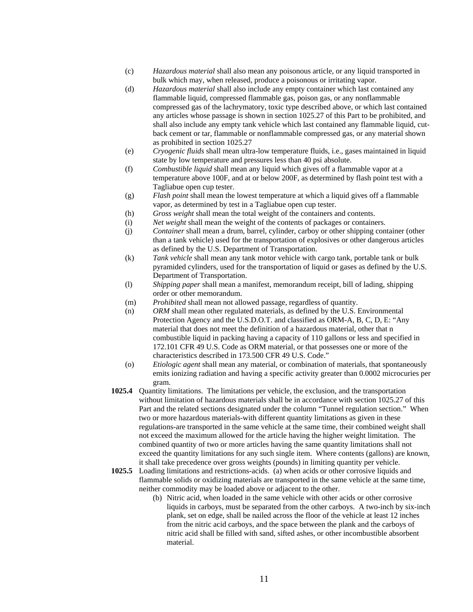- (c) *Hazardous material* shall also mean any poisonous article, or any liquid transported in bulk which may, when released, produce a poisonous or irritating vapor.
- (d) *Hazardous material* shall also include any empty container which last contained any flammable liquid, compressed flammable gas, poison gas, or any nonflammable compressed gas of the lachrymatory, toxic type described above, or which last contained any articles whose passage is shown in section 1025.27 of this Part to be prohibited, and shall also include any empty tank vehicle which last contained any flammable liquid, cutback cement or tar, flammable or nonflammable compressed gas, or any material shown as prohibited in section 1025.27
- (e) *Cryogenic fluids* shall mean ultra-low temperature fluids, i.e., gases maintained in liquid state by low temperature and pressures less than 40 psi absolute.
- (f) *Combustible liquid* shall mean any liquid which gives off a flammable vapor at a temperature above 100F, and at or below 200F, as determined by flash point test with a Tagliabue open cup tester.
- (g) *Flash point* shall mean the lowest temperature at which a liquid gives off a flammable vapor, as determined by test in a Tagliabue open cup tester.
- (h) *Gross weight* shall mean the total weight of the containers and contents.
- (i) *Net weight* shall mean the weight of the contents of packages or containers.
- (j) *Container* shall mean a drum, barrel, cylinder, carboy or other shipping container (other than a tank vehicle) used for the transportation of explosives or other dangerous articles as defined by the U.S. Department of Transportation.
- (k) *Tank vehicle* shall mean any tank motor vehicle with cargo tank, portable tank or bulk pyramided cylinders, used for the transportation of liquid or gases as defined by the U.S. Department of Transportation.
- (l) *Shipping paper* shall mean a manifest, memorandum receipt, bill of lading, shipping order or other memorandum.
- (m) *Prohibited* shall mean not allowed passage, regardless of quantity.
- (n) *ORM* shall mean other regulated materials, as defined by the U.S. Environmental Protection Agency and the U.S.D.O.T. and classified as ORM-A, B, C, D, E: "Any material that does not meet the definition of a hazardous material, other that n combustible liquid in packing having a capacity of 110 gallons or less and specified in 172.101 CFR 49 U.S. Code as ORM material, or that possesses one or more of the characteristics described in 173.500 CFR 49 U.S. Code."
- (o) *Etiologic agent* shall mean any material, or combination of materials, that spontaneously emits ionizing radiation and having a specific activity greater than 0.0002 microcuries per gram.
- **1025.4** Quantity limitations. The limitations per vehicle, the exclusion, and the transportation without limitation of hazardous materials shall be in accordance with section 1025.27 of this Part and the related sections designated under the column "Tunnel regulation section." When two or more hazardous materials-with different quantity limitations as given in these regulations-are transported in the same vehicle at the same time, their combined weight shall not exceed the maximum allowed for the article having the higher weight limitation. The combined quantity of two or more articles having the same quantity limitations shall not exceed the quantity limitations for any such single item. Where contents (gallons) are known, it shall take precedence over gross weights (pounds) in limiting quantity per vehicle.
- **1025.5** Loading limitations and restrictions-acids. (a) when acids or other corrosive liquids and flammable solids or oxidizing materials are transported in the same vehicle at the same time, neither commodity may be loaded above or adjacent to the other.
	- (b) Nitric acid, when loaded in the same vehicle with other acids or other corrosive liquids in carboys, must be separated from the other carboys. A two-inch by six-inch plank, set on edge, shall be nailed across the floor of the vehicle at least 12 inches from the nitric acid carboys, and the space between the plank and the carboys of nitric acid shall be filled with sand, sifted ashes, or other incombustible absorbent material.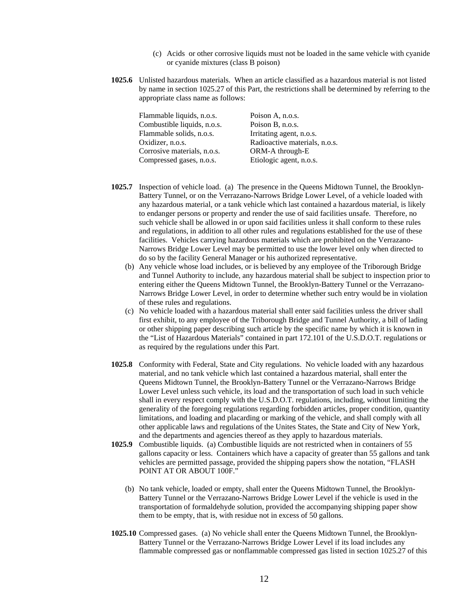- (c) Acids or other corrosive liquids must not be loaded in the same vehicle with cyanide or cyanide mixtures (class B poison)
- **1025.6** Unlisted hazardous materials. When an article classified as a hazardous material is not listed by name in section 1025.27 of this Part, the restrictions shall be determined by referring to the appropriate class name as follows:

| Poison A, n.o.s.              |
|-------------------------------|
| Poison B, n.o.s.              |
| Irritating agent, n.o.s.      |
| Radioactive materials, n.o.s. |
| ORM-A through-E               |
| Etiologic agent, n.o.s.       |
|                               |

- **1025.7** Inspection of vehicle load. (a) The presence in the Queens Midtown Tunnel, the Brooklyn-Battery Tunnel, or on the Verrazano-Narrows Bridge Lower Level, of a vehicle loaded with any hazardous material, or a tank vehicle which last contained a hazardous material, is likely to endanger persons or property and render the use of said facilities unsafe. Therefore, no such vehicle shall be allowed in or upon said facilities unless it shall conform to these rules and regulations, in addition to all other rules and regulations established for the use of these facilities. Vehicles carrying hazardous materials which are prohibited on the Verrazano-Narrows Bridge Lower Level may be permitted to use the lower level only when directed to do so by the facility General Manager or his authorized representative.
	- (b) Any vehicle whose load includes, or is believed by any employee of the Triborough Bridge and Tunnel Authority to include, any hazardous material shall be subject to inspection prior to entering either the Queens Midtown Tunnel, the Brooklyn-Battery Tunnel or the Verrazano-Narrows Bridge Lower Level, in order to determine whether such entry would be in violation of these rules and regulations.
	- (c) No vehicle loaded with a hazardous material shall enter said facilities unless the driver shall first exhibit, to any employee of the Triborough Bridge and Tunnel Authority, a bill of lading or other shipping paper describing such article by the specific name by which it is known in the "List of Hazardous Materials" contained in part 172.101 of the U.S.D.O.T. regulations or as required by the regulations under this Part.
- **1025.8** Conformity with Federal, State and City regulations. No vehicle loaded with any hazardous material, and no tank vehicle which last contained a hazardous material, shall enter the Queens Midtown Tunnel, the Brooklyn-Battery Tunnel or the Verrazano-Narrows Bridge Lower Level unless such vehicle, its load and the transportation of such load in such vehicle shall in every respect comply with the U.S.D.O.T. regulations, including, without limiting the generality of the foregoing regulations regarding forbidden articles, proper condition, quantity limitations, and loading and placarding or marking of the vehicle, and shall comply with all other applicable laws and regulations of the Unites States, the State and City of New York, and the departments and agencies thereof as they apply to hazardous materials.
- **1025.9** Combustible liquids. (a) Combustible liquids are not restricted when in containers of 55 gallons capacity or less. Containers which have a capacity of greater than 55 gallons and tank vehicles are permitted passage, provided the shipping papers show the notation, "FLASH POINT AT OR ABOUT 100F."
	- (b) No tank vehicle, loaded or empty, shall enter the Queens Midtown Tunnel, the Brooklyn-Battery Tunnel or the Verrazano-Narrows Bridge Lower Level if the vehicle is used in the transportation of formaldehyde solution, provided the accompanying shipping paper show them to be empty, that is, with residue not in excess of 50 gallons.
- **1025.10** Compressed gases. (a) No vehicle shall enter the Queens Midtown Tunnel, the Brooklyn-Battery Tunnel or the Verrazano-Narrows Bridge Lower Level if its load includes any flammable compressed gas or nonflammable compressed gas listed in section 1025.27 of this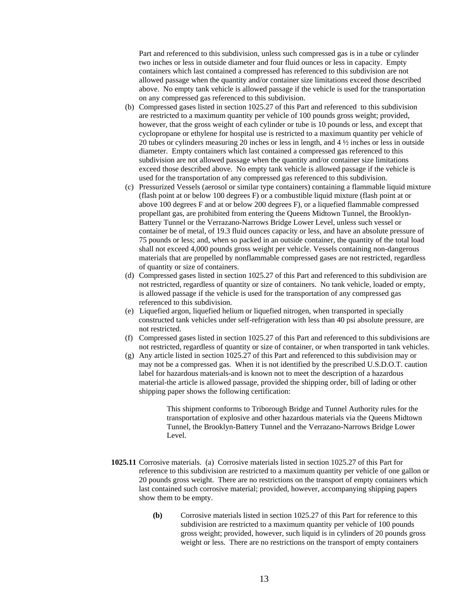Part and referenced to this subdivision, unless such compressed gas is in a tube or cylinder two inches or less in outside diameter and four fluid ounces or less in capacity. Empty containers which last contained a compressed has referenced to this subdivision are not allowed passage when the quantity and/or container size limitations exceed those described above. No empty tank vehicle is allowed passage if the vehicle is used for the transportation on any compressed gas referenced to this subdivision.

- (b) Compressed gases listed in section 1025.27 of this Part and referenced to this subdivision are restricted to a maximum quantity per vehicle of 100 pounds gross weight; provided, however, that the gross weight of each cylinder or tube is 10 pounds or less, and except that cyclopropane or ethylene for hospital use is restricted to a maximum quantity per vehicle of 20 tubes or cylinders measuring 20 inches or less in length, and 4 ½ inches or less in outside diameter. Empty containers which last contained a compressed gas referenced to this subdivision are not allowed passage when the quantity and/or container size limitations exceed those described above. No empty tank vehicle is allowed passage if the vehicle is used for the transportation of any compressed gas referenced to this subdivision.
- (c) Pressurized Vessels (aerosol or similar type containers) containing a flammable liquid mixture (flash point at or below 100 degrees F) or a combustible liquid mixture (flash point at or above 100 degrees F and at or below 200 degrees F), or a liquefied flammable compressed propellant gas, are prohibited from entering the Queens Midtown Tunnel, the Brooklyn-Battery Tunnel or the Verrazano-Narrows Bridge Lower Level, unless such vessel or container be of metal, of 19.3 fluid ounces capacity or less, and have an absolute pressure of 75 pounds or less; and, when so packed in an outside container, the quantity of the total load shall not exceed 4,000 pounds gross weight per vehicle. Vessels containing non-dangerous materials that are propelled by nonflammable compressed gases are not restricted, regardless of quantity or size of containers.
- (d) Compressed gases listed in section 1025.27 of this Part and referenced to this subdivision are not restricted, regardless of quantity or size of containers. No tank vehicle, loaded or empty, is allowed passage if the vehicle is used for the transportation of any compressed gas referenced to this subdivision.
- (e) Liquefied argon, liquefied helium or liquefied nitrogen, when transported in specially constructed tank vehicles under self-refrigeration with less than 40 psi absolute pressure, are not restricted.
- (f) Compressed gases listed in section 1025.27 of this Part and referenced to this subdivisions are not restricted, regardless of quantity or size of container, or when transported in tank vehicles.
- (g) Any article listed in section 1025.27 of this Part and referenced to this subdivision may or may not be a compressed gas. When it is not identified by the prescribed U.S.D.O.T. caution label for hazardous materials-and is known not to meet the description of a hazardous material-the article is allowed passage, provided the shipping order, bill of lading or other shipping paper shows the following certification:

This shipment conforms to Triborough Bridge and Tunnel Authority rules for the transportation of explosive and other hazardous materials via the Queens Midtown Tunnel, the Brooklyn-Battery Tunnel and the Verrazano-Narrows Bridge Lower Level.

- **1025.11** Corrosive materials. (a) Corrosive materials listed in section 1025.27 of this Part for reference to this subdivision are restricted to a maximum quantity per vehicle of one gallon or 20 pounds gross weight. There are no restrictions on the transport of empty containers which last contained such corrosive material; provided, however, accompanying shipping papers show them to be empty.
	- **(b)** Corrosive materials listed in section 1025.27 of this Part for reference to this subdivision are restricted to a maximum quantity per vehicle of 100 pounds gross weight; provided, however, such liquid is in cylinders of 20 pounds gross weight or less. There are no restrictions on the transport of empty containers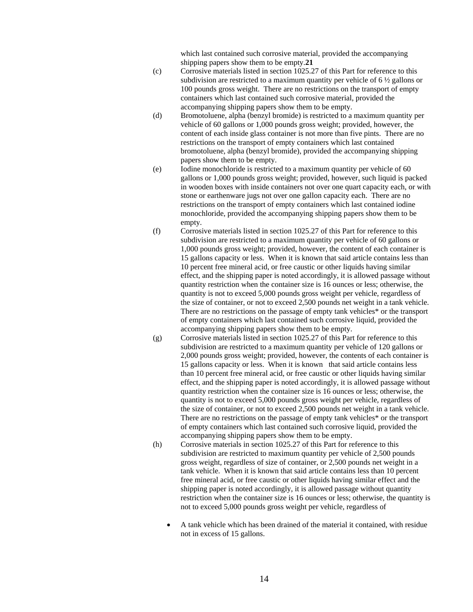which last contained such corrosive material, provided the accompanying shipping papers show them to be empty.**21** 

- (c) Corrosive materials listed in section 1025.27 of this Part for reference to this subdivision are restricted to a maximum quantity per vehicle of  $6\frac{1}{2}$  gallons or 100 pounds gross weight. There are no restrictions on the transport of empty containers which last contained such corrosive material, provided the accompanying shipping papers show them to be empty.
- (d) Bromotoluene, alpha (benzyl bromide) is restricted to a maximum quantity per vehicle of 60 gallons or 1,000 pounds gross weight; provided, however, the content of each inside glass container is not more than five pints. There are no restrictions on the transport of empty containers which last contained bromotoluene, alpha (benzyl bromide), provided the accompanying shipping papers show them to be empty.
- (e) Iodine monochloride is restricted to a maximum quantity per vehicle of 60 gallons or 1,000 pounds gross weight; provided, however, such liquid is packed in wooden boxes with inside containers not over one quart capacity each, or with stone or earthenware jugs not over one gallon capacity each. There are no restrictions on the transport of empty containers which last contained iodine monochloride, provided the accompanying shipping papers show them to be empty.
- (f) Corrosive materials listed in section 1025.27 of this Part for reference to this subdivision are restricted to a maximum quantity per vehicle of 60 gallons or 1,000 pounds gross weight; provided, however, the content of each container is 15 gallons capacity or less. When it is known that said article contains less than 10 percent free mineral acid, or free caustic or other liquids having similar effect, and the shipping paper is noted accordingly, it is allowed passage without quantity restriction when the container size is 16 ounces or less; otherwise, the quantity is not to exceed 5,000 pounds gross weight per vehicle, regardless of the size of container, or not to exceed 2,500 pounds net weight in a tank vehicle. There are no restrictions on the passage of empty tank vehicles\* or the transport of empty containers which last contained such corrosive liquid, provided the accompanying shipping papers show them to be empty.
- (g) Corrosive materials listed in section 1025.27 of this Part for reference to this subdivision are restricted to a maximum quantity per vehicle of 120 gallons or 2,000 pounds gross weight; provided, however, the contents of each container is 15 gallons capacity or less. When it is known that said article contains less than 10 percent free mineral acid, or free caustic or other liquids having similar effect, and the shipping paper is noted accordingly, it is allowed passage without quantity restriction when the container size is 16 ounces or less; otherwise, the quantity is not to exceed 5,000 pounds gross weight per vehicle, regardless of the size of container, or not to exceed 2,500 pounds net weight in a tank vehicle. There are no restrictions on the passage of empty tank vehicles\* or the transport of empty containers which last contained such corrosive liquid, provided the accompanying shipping papers show them to be empty.
- (h) Corrosive materials in section 1025.27 of this Part for reference to this subdivision are restricted to maximum quantity per vehicle of 2,500 pounds gross weight, regardless of size of container, or 2,500 pounds net weight in a tank vehicle. When it is known that said article contains less than 10 percent free mineral acid, or free caustic or other liquids having similar effect and the shipping paper is noted accordingly, it is allowed passage without quantity restriction when the container size is 16 ounces or less; otherwise, the quantity is not to exceed 5,000 pounds gross weight per vehicle, regardless of
	- A tank vehicle which has been drained of the material it contained, with residue not in excess of 15 gallons.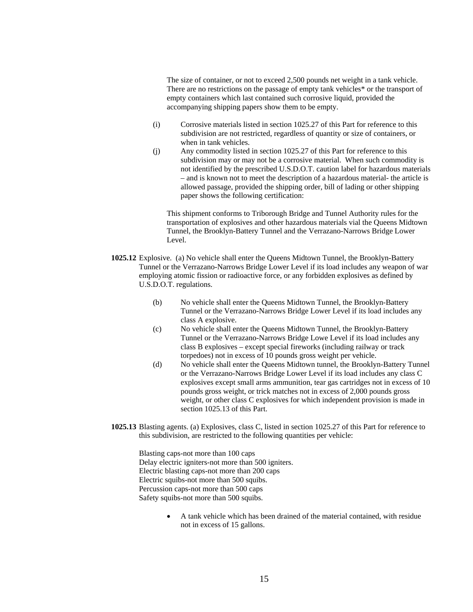The size of container, or not to exceed 2,500 pounds net weight in a tank vehicle. There are no restrictions on the passage of empty tank vehicles\* or the transport of empty containers which last contained such corrosive liquid, provided the accompanying shipping papers show them to be empty.

- (i) Corrosive materials listed in section 1025.27 of this Part for reference to this subdivision are not restricted, regardless of quantity or size of containers, or when in tank vehicles.
- (j) Any commodity listed in section 1025.27 of this Part for reference to this subdivision may or may not be a corrosive material. When such commodity is not identified by the prescribed U.S.D.O.T. caution label for hazardous materials – and is known not to meet the description of a hazardous material- the article is allowed passage, provided the shipping order, bill of lading or other shipping paper shows the following certification:

This shipment conforms to Triborough Bridge and Tunnel Authority rules for the transportation of explosives and other hazardous materials vial the Queens Midtown Tunnel, the Brooklyn-Battery Tunnel and the Verrazano-Narrows Bridge Lower Level.

- **1025.12** Explosive. (a) No vehicle shall enter the Queens Midtown Tunnel, the Brooklyn-Battery Tunnel or the Verrazano-Narrows Bridge Lower Level if its load includes any weapon of war employing atomic fission or radioactive force, or any forbidden explosives as defined by U.S.D.O.T. regulations.
	- (b) No vehicle shall enter the Queens Midtown Tunnel, the Brooklyn-Battery Tunnel or the Verrazano-Narrows Bridge Lower Level if its load includes any class A explosive.
	- (c) No vehicle shall enter the Queens Midtown Tunnel, the Brooklyn-Battery Tunnel or the Verrazano-Narrows Bridge Lowe Level if its load includes any class B explosives – except special fireworks (including railway or track torpedoes) not in excess of 10 pounds gross weight per vehicle.
	- (d) No vehicle shall enter the Queens Midtown tunnel, the Brooklyn-Battery Tunnel or the Verrazano-Narrows Bridge Lower Level if its load includes any class C explosives except small arms ammunition, tear gas cartridges not in excess of 10 pounds gross weight, or trick matches not in excess of 2,000 pounds gross weight, or other class C explosives for which independent provision is made in section 1025.13 of this Part.
- **1025.13** Blasting agents. (a) Explosives, class C, listed in section 1025.27 of this Part for reference to this subdivision, are restricted to the following quantities per vehicle:

Blasting caps-not more than 100 caps Delay electric igniters-not more than 500 igniters. Electric blasting caps-not more than 200 caps Electric squibs-not more than 500 squibs. Percussion caps-not more than 500 caps Safety squibs-not more than 500 squibs.

> • A tank vehicle which has been drained of the material contained, with residue not in excess of 15 gallons.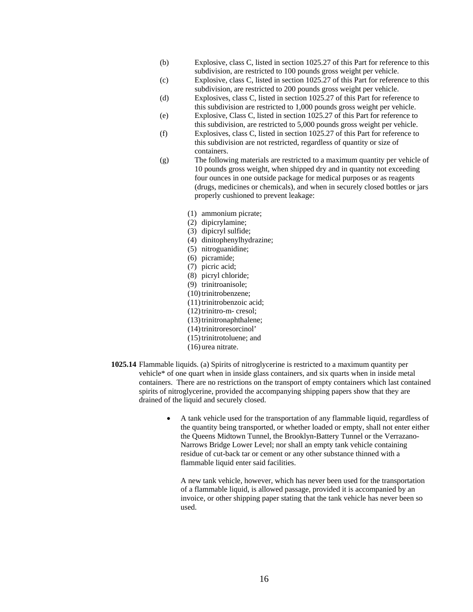- (b) Explosive, class C, listed in section 1025.27 of this Part for reference to this subdivision, are restricted to 100 pounds gross weight per vehicle.
- (c) Explosive, class C, listed in section 1025.27 of this Part for reference to this subdivision, are restricted to 200 pounds gross weight per vehicle.
- (d) Explosives, class C, listed in section 1025.27 of this Part for reference to this subdivision are restricted to 1,000 pounds gross weight per vehicle.
- (e) Explosive, Class C, listed in section 1025.27 of this Part for reference to this subdivision, are restricted to 5,000 pounds gross weight per vehicle.
- (f) Explosives, class C, listed in section 1025.27 of this Part for reference to this subdivision are not restricted, regardless of quantity or size of containers.
- (g) The following materials are restricted to a maximum quantity per vehicle of 10 pounds gross weight, when shipped dry and in quantity not exceeding four ounces in one outside package for medical purposes or as reagents (drugs, medicines or chemicals), and when in securely closed bottles or jars properly cushioned to prevent leakage:
	- (1) ammonium picrate;
	- (2) dipicrylamine;
	- (3) dipicryl sulfide;
	- (4) dinitophenylhydrazine;
	- (5) nitroguanidine;
	- (6) picramide;
	- (7) picric acid;
	- (8) picryl chloride;
	- (9) trinitroanisole;
	- (10) trinitrobenzene;
	- (11)trinitrobenzoic acid;
	- $(12)$ trinitro-m- cresol;
	- (13)trinitronaphthalene;
	- (14) trinitroresorcinol'
	- (15)trinitrotoluene; and
	- (16) urea nitrate.
- **1025.14** Flammable liquids. (a) Spirits of nitroglycerine is restricted to a maximum quantity per vehicle\* of one quart when in inside glass containers, and six quarts when in inside metal containers. There are no restrictions on the transport of empty containers which last contained spirits of nitroglycerine, provided the accompanying shipping papers show that they are drained of the liquid and securely closed.
	- A tank vehicle used for the transportation of any flammable liquid, regardless of the quantity being transported, or whether loaded or empty, shall not enter either the Queens Midtown Tunnel, the Brooklyn-Battery Tunnel or the Verrazano-Narrows Bridge Lower Level; nor shall an empty tank vehicle containing residue of cut-back tar or cement or any other substance thinned with a flammable liquid enter said facilities.

A new tank vehicle, however, which has never been used for the transportation of a flammable liquid, is allowed passage, provided it is accompanied by an invoice, or other shipping paper stating that the tank vehicle has never been so used.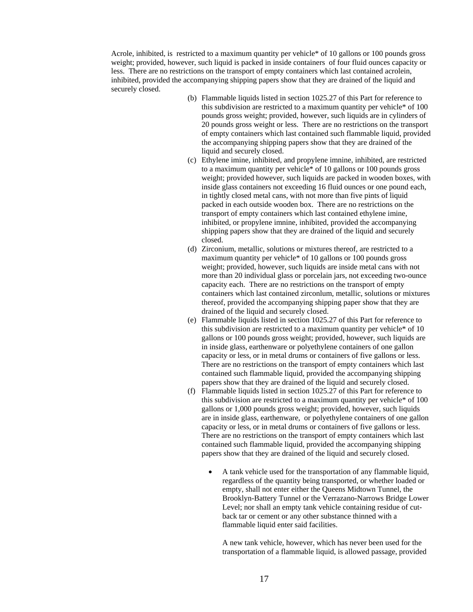Acrole, inhibited, is restricted to a maximum quantity per vehicle\* of 10 gallons or 100 pounds gross weight; provided, however, such liquid is packed in inside containers of four fluid ounces capacity or less. There are no restrictions on the transport of empty containers which last contained acrolein, inhibited, provided the accompanying shipping papers show that they are drained of the liquid and securely closed.

- (b) Flammable liquids listed in section 1025.27 of this Part for reference to this subdivision are restricted to a maximum quantity per vehicle\* of 100 pounds gross weight; provided, however, such liquids are in cylinders of 20 pounds gross weight or less. There are no restrictions on the transport of empty containers which last contained such flammable liquid, provided the accompanying shipping papers show that they are drained of the liquid and securely closed.
- (c) Ethylene imine, inhibited, and propylene imnine, inhibited, are restricted to a maximum quantity per vehicle\* of 10 gallons or 100 pounds gross weight; provided however, such liquids are packed in wooden boxes, with inside glass containers not exceeding 16 fluid ounces or one pound each, in tightly closed metal cans, with not more than five pints of liquid packed in each outside wooden box. There are no restrictions on the transport of empty containers which last contained ethylene imine, inhibited, or propylene imnine, inhibited, provided the accompanying shipping papers show that they are drained of the liquid and securely closed.
- (d) Zirconium, metallic, solutions or mixtures thereof, are restricted to a maximum quantity per vehicle\* of 10 gallons or 100 pounds gross weight; provided, however, such liquids are inside metal cans with not more than 20 individual glass or porcelain jars, not exceeding two-ounce capacity each. There are no restrictions on the transport of empty containers which last contained zirconlum, metallic, solutions or mixtures thereof, provided the accompanying shipping paper show that they are drained of the liquid and securely closed.
- (e) Flammable liquids listed in section 1025.27 of this Part for reference to this subdivision are restricted to a maximum quantity per vehicle\* of 10 gallons or 100 pounds gross weight; provided, however, such liquids are in inside glass, earthenware or polyethylene containers of one gallon capacity or less, or in metal drums or containers of five gallons or less. There are no restrictions on the transport of empty containers which last contained such flammable liquid, provided the accompanying shipping papers show that they are drained of the liquid and securely closed.
- (f) Flammable liquids listed in section 1025.27 of this Part for reference to this subdivision are restricted to a maximum quantity per vehicle\* of 100 gallons or 1,000 pounds gross weight; provided, however, such liquids are in inside glass, earthenware, or polyethylene containers of one gallon capacity or less, or in metal drums or containers of five gallons or less. There are no restrictions on the transport of empty containers which last contained such flammable liquid, provided the accompanying shipping papers show that they are drained of the liquid and securely closed.
	- A tank vehicle used for the transportation of any flammable liquid, regardless of the quantity being transported, or whether loaded or empty, shall not enter either the Queens Midtown Tunnel, the Brooklyn-Battery Tunnel or the Verrazano-Narrows Bridge Lower Level; nor shall an empty tank vehicle containing residue of cutback tar or cement or any other substance thinned with a flammable liquid enter said facilities.

A new tank vehicle, however, which has never been used for the transportation of a flammable liquid, is allowed passage, provided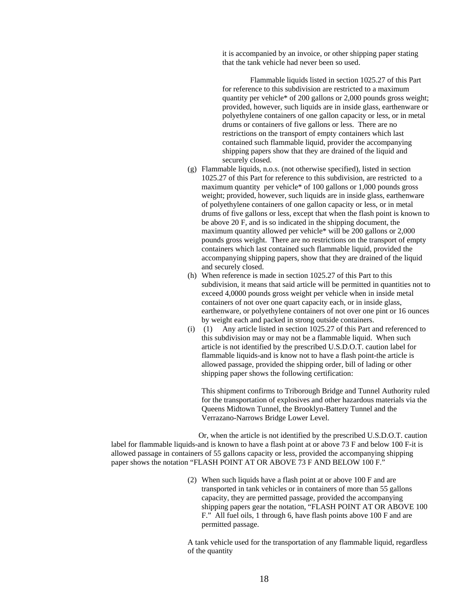it is accompanied by an invoice, or other shipping paper stating that the tank vehicle had never been so used.

 Flammable liquids listed in section 1025.27 of this Part for reference to this subdivision are restricted to a maximum quantity per vehicle\* of 200 gallons or 2,000 pounds gross weight; provided, however, such liquids are in inside glass, earthenware or polyethylene containers of one gallon capacity or less, or in metal drums or containers of five gallons or less. There are no restrictions on the transport of empty containers which last contained such flammable liquid, provider the accompanying shipping papers show that they are drained of the liquid and securely closed.

- (g) Flammable liquids, n.o.s. (not otherwise specified), listed in section 1025.27 of this Part for reference to this subdivision, are restricted to a maximum quantity per vehicle\* of 100 gallons or 1,000 pounds gross weight; provided, however, such liquids are in inside glass, earthenware of polyethylene containers of one gallon capacity or less, or in metal drums of five gallons or less, except that when the flash point is known to be above 20 F, and is so indicated in the shipping document, the maximum quantity allowed per vehicle\* will be 200 gallons or 2,000 pounds gross weight. There are no restrictions on the transport of empty containers which last contained such flammable liquid, provided the accompanying shipping papers, show that they are drained of the liquid and securely closed.
- (h) When reference is made in section 1025.27 of this Part to this subdivision, it means that said article will be permitted in quantities not to exceed 4,0000 pounds gross weight per vehicle when in inside metal containers of not over one quart capacity each, or in inside glass, earthenware, or polyethylene containers of not over one pint or 16 ounces by weight each and packed in strong outside containers.
- (i) (1) Any article listed in section 1025.27 of this Part and referenced to this subdivision may or may not be a flammable liquid. When such article is not identified by the prescribed U.S.D.O.T. caution label for flammable liquids-and is know not to have a flash point-the article is allowed passage, provided the shipping order, bill of lading or other shipping paper shows the following certification:

This shipment confirms to Triborough Bridge and Tunnel Authority ruled for the transportation of explosives and other hazardous materials via the Queens Midtown Tunnel, the Brooklyn-Battery Tunnel and the Verrazano-Narrows Bridge Lower Level.

 Or, when the article is not identified by the prescribed U.S.D.O.T. caution label for flammable liquids-and is known to have a flash point at or above 73 F and below 100 F-it is allowed passage in containers of 55 gallons capacity or less, provided the accompanying shipping paper shows the notation "FLASH POINT AT OR ABOVE 73 F AND BELOW 100 F."

> (2) When such liquids have a flash point at or above 100 F and are transported in tank vehicles or in containers of more than 55 gallons capacity, they are permitted passage, provided the accompanying shipping papers gear the notation, "FLASH POINT AT OR ABOVE 100 F." All fuel oils, 1 through 6, have flash points above 100 F and are permitted passage.

> A tank vehicle used for the transportation of any flammable liquid, regardless of the quantity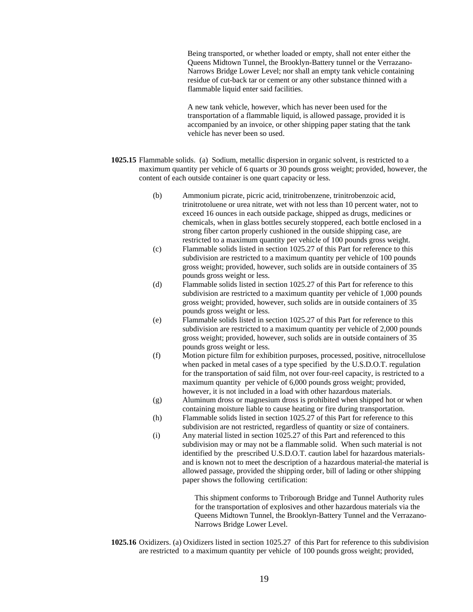Being transported, or whether loaded or empty, shall not enter either the Queens Midtown Tunnel, the Brooklyn-Battery tunnel or the Verrazano-Narrows Bridge Lower Level; nor shall an empty tank vehicle containing residue of cut-back tar or cement or any other substance thinned with a flammable liquid enter said facilities.

A new tank vehicle, however, which has never been used for the transportation of a flammable liquid, is allowed passage, provided it is accompanied by an invoice, or other shipping paper stating that the tank vehicle has never been so used.

- **1025.15** Flammable solids. (a) Sodium, metallic dispersion in organic solvent, is restricted to a maximum quantity per vehicle of 6 quarts or 30 pounds gross weight; provided, however, the content of each outside container is one quart capacity or less.
	- (b) Ammonium picrate, picric acid, trinitrobenzene, trinitrobenzoic acid, trinitrotoluene or urea nitrate, wet with not less than 10 percent water, not to exceed 16 ounces in each outside package, shipped as drugs, medicines or chemicals, when in glass bottles securely stoppered, each bottle enclosed in a strong fiber carton properly cushioned in the outside shipping case, are restricted to a maximum quantity per vehicle of 100 pounds gross weight.
	- (c) Flammable solids listed in section 1025.27 of this Part for reference to this subdivision are restricted to a maximum quantity per vehicle of 100 pounds gross weight; provided, however, such solids are in outside containers of 35 pounds gross weight or less.
	- (d) Flammable solids listed in section 1025.27 of this Part for reference to this subdivision are restricted to a maximum quantity per vehicle of 1,000 pounds gross weight; provided, however, such solids are in outside containers of 35 pounds gross weight or less.
	- (e) Flammable solids listed in section 1025.27 of this Part for reference to this subdivision are restricted to a maximum quantity per vehicle of 2,000 pounds gross weight; provided, however, such solids are in outside containers of 35 pounds gross weight or less.
	- (f) Motion picture film for exhibition purposes, processed, positive, nitrocellulose when packed in metal cases of a type specified by the U.S.D.O.T. regulation for the transportation of said film, not over four-reel capacity, is restricted to a maximum quantity per vehicle of 6,000 pounds gross weight; provided, however, it is not included in a load with other hazardous materials.
	- (g) Aluminum dross or magnesium dross is prohibited when shipped hot or when containing moisture liable to cause heating or fire during transportation.
	- (h) Flammable solids listed in section 1025.27 of this Part for reference to this subdivision are not restricted, regardless of quantity or size of containers.
	- (i) Any material listed in section 1025.27 of this Part and referenced to this subdivision may or may not be a flammable solid. When such material is not identified by the prescribed U.S.D.O.T. caution label for hazardous materialsand is known not to meet the description of a hazardous material-the material is allowed passage, provided the shipping order, bill of lading or other shipping paper shows the following certification:

This shipment conforms to Triborough Bridge and Tunnel Authority rules for the transportation of explosives and other hazardous materials via the Queens Midtown Tunnel, the Brooklyn-Battery Tunnel and the Verrazano-Narrows Bridge Lower Level.

**1025.16** Oxidizers. (a) Oxidizers listed in section 1025.27 of this Part for reference to this subdivision are restricted to a maximum quantity per vehicle of 100 pounds gross weight; provided,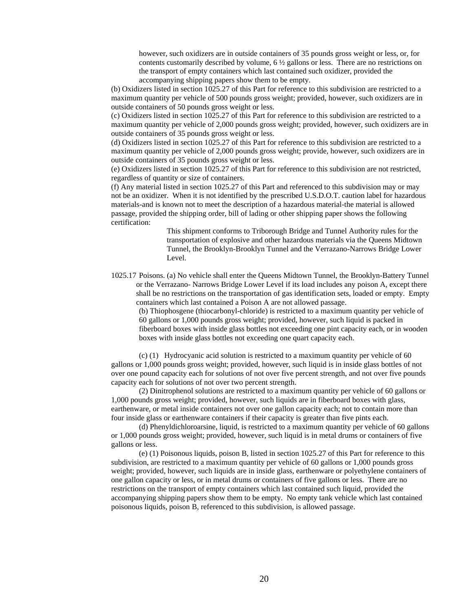however, such oxidizers are in outside containers of 35 pounds gross weight or less, or, for contents customarily described by volume,  $6\frac{1}{2}$  gallons or less. There are no restrictions on the transport of empty containers which last contained such oxidizer, provided the accompanying shipping papers show them to be empty.

(b) Oxidizers listed in section 1025.27 of this Part for reference to this subdivision are restricted to a maximum quantity per vehicle of 500 pounds gross weight; provided, however, such oxidizers are in outside containers of 50 pounds gross weight or less.

(c) Oxidizers listed in section 1025.27 of this Part for reference to this subdivision are restricted to a maximum quantity per vehicle of 2,000 pounds gross weight; provided, however, such oxidizers are in outside containers of 35 pounds gross weight or less.

(d) Oxidizers listed in section 1025.27 of this Part for reference to this subdivision are restricted to a maximum quantity per vehicle of 2,000 pounds gross weight; provide, however, such oxidizers are in outside containers of 35 pounds gross weight or less.

(e) Oxidizers listed in section 1025.27 of this Part for reference to this subdivision are not restricted, regardless of quantity or size of containers.

(f) Any material listed in section 1025.27 of this Part and referenced to this subdivision may or may not be an oxidizer. When it is not identified by the prescribed U.S.D.O.T. caution label for hazardous materials-and is known not to meet the description of a hazardous material-the material is allowed passage, provided the shipping order, bill of lading or other shipping paper shows the following certification:

> This shipment conforms to Triborough Bridge and Tunnel Authority rules for the transportation of explosive and other hazardous materials via the Queens Midtown Tunnel, the Brooklyn-Brooklyn Tunnel and the Verrazano-Narrows Bridge Lower Level.

1025.17 Poisons. (a) No vehicle shall enter the Queens Midtown Tunnel, the Brooklyn-Battery Tunnel or the Verrazano- Narrows Bridge Lower Level if its load includes any poison A, except there shall be no restrictions on the transportation of gas identification sets, loaded or empty. Empty containers which last contained a Poison A are not allowed passage.

(b) Thiophosgene (thiocarbonyl-chloride) is restricted to a maximum quantity per vehicle of 60 gallons or 1,000 pounds gross weight; provided, however, such liquid is packed in fiberboard boxes with inside glass bottles not exceeding one pint capacity each, or in wooden boxes with inside glass bottles not exceeding one quart capacity each.

 (c) (1) Hydrocyanic acid solution is restricted to a maximum quantity per vehicle of 60 gallons or 1,000 pounds gross weight; provided, however, such liquid is in inside glass bottles of not over one pound capacity each for solutions of not over five percent strength, and not over five pounds capacity each for solutions of not over two percent strength.

 (2) Dinitrophenol solutions are restricted to a maximum quantity per vehicle of 60 gallons or 1,000 pounds gross weight; provided, however, such liquids are in fiberboard boxes with glass, earthenware, or metal inside containers not over one gallon capacity each; not to contain more than four inside glass or earthenware containers if their capacity is greater than five pints each.

 (d) Phenyldichloroarsine, liquid, is restricted to a maximum quantity per vehicle of 60 gallons or 1,000 pounds gross weight; provided, however, such liquid is in metal drums or containers of five gallons or less.

 (e) (1) Poisonous liquids, poison B, listed in section 1025.27 of this Part for reference to this subdivision, are restricted to a maximum quantity per vehicle of 60 gallons or 1,000 pounds gross weight; provided, however, such liquids are in inside glass, earthenware or polyethylene containers of one gallon capacity or less, or in metal drums or containers of five gallons or less. There are no restrictions on the transport of empty containers which last contained such liquid, provided the accompanying shipping papers show them to be empty. No empty tank vehicle which last contained poisonous liquids, poison B, referenced to this subdivision, is allowed passage.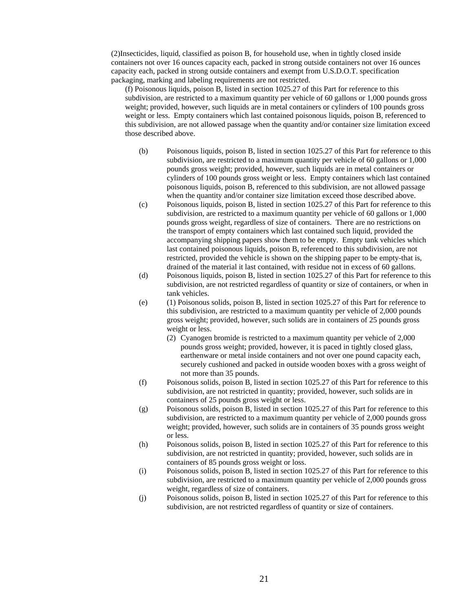(2)Insecticides, liquid, classified as poison B, for household use, when in tightly closed inside containers not over 16 ounces capacity each, packed in strong outside containers not over 16 ounces capacity each, packed in strong outside containers and exempt from U.S.D.O.T. specification packaging, marking and labeling requirements are not restricted.

(f) Poisonous liquids, poison B, listed in section 1025.27 of this Part for reference to this subdivision, are restricted to a maximum quantity per vehicle of 60 gallons or 1,000 pounds gross weight; provided, however, such liquids are in metal containers or cylinders of 100 pounds gross weight or less. Empty containers which last contained poisonous liquids, poison B, referenced to this subdivision, are not allowed passage when the quantity and/or container size limitation exceed those described above.

- (b) Poisonous liquids, poison B, listed in section 1025.27 of this Part for reference to this subdivision, are restricted to a maximum quantity per vehicle of 60 gallons or 1,000 pounds gross weight; provided, however, such liquids are in metal containers or cylinders of 100 pounds gross weight or less. Empty containers which last contained poisonous liquids, poison B, referenced to this subdivision, are not allowed passage when the quantity and/or container size limitation exceed those described above.
- (c) Poisonous liquids, poison B, listed in section 1025.27 of this Part for reference to this subdivision, are restricted to a maximum quantity per vehicle of 60 gallons or 1,000 pounds gross weight, regardless of size of containers. There are no restrictions on the transport of empty containers which last contained such liquid, provided the accompanying shipping papers show them to be empty. Empty tank vehicles which last contained poisonous liquids, poison B, referenced to this subdivision, are not restricted, provided the vehicle is shown on the shipping paper to be empty-that is, drained of the material it last contained, with residue not in excess of 60 gallons.
- (d) Poisonous liquids, poison B, listed in section 1025.27 of this Part for reference to this subdivision, are not restricted regardless of quantity or size of containers, or when in tank vehicles.
- (e) (1) Poisonous solids, poison B, listed in section 1025.27 of this Part for reference to this subdivision, are restricted to a maximum quantity per vehicle of 2,000 pounds gross weight; provided, however, such solids are in containers of 25 pounds gross weight or less.
	- (2) Cyanogen bromide is restricted to a maximum quantity per vehicle of 2,000 pounds gross weight; provided, however, it is paced in tightly closed glass, earthenware or metal inside containers and not over one pound capacity each, securely cushioned and packed in outside wooden boxes with a gross weight of not more than 35 pounds.
- (f) Poisonous solids, poison B, listed in section 1025.27 of this Part for reference to this subdivision, are not restricted in quantity; provided, however, such solids are in containers of 25 pounds gross weight or less.
- (g) Poisonous solids, poison B, listed in section 1025.27 of this Part for reference to this subdivision, are restricted to a maximum quantity per vehicle of 2,000 pounds gross weight; provided, however, such solids are in containers of 35 pounds gross weight or less.
- (h) Poisonous solids, poison B, listed in section 1025.27 of this Part for reference to this subdivision, are not restricted in quantity; provided, however, such solids are in containers of 85 pounds gross weight or loss.
- (i) Poisonous solids, poison B, listed in section 1025.27 of this Part for reference to this subdivision, are restricted to a maximum quantity per vehicle of 2,000 pounds gross weight, regardless of size of containers.
- (j) Poisonous solids, poison B, listed in section 1025.27 of this Part for reference to this subdivision, are not restricted regardless of quantity or size of containers.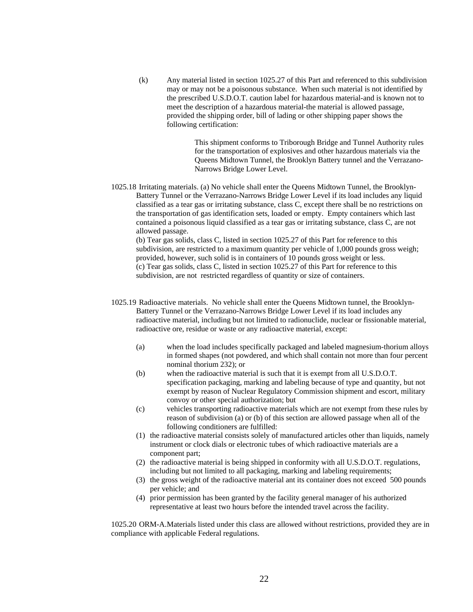(k) Any material listed in section 1025.27 of this Part and referenced to this subdivision may or may not be a poisonous substance. When such material is not identified by the prescribed U.S.D.O.T. caution label for hazardous material-and is known not to meet the description of a hazardous material-the material is allowed passage, provided the shipping order, bill of lading or other shipping paper shows the following certification:

> This shipment conforms to Triborough Bridge and Tunnel Authority rules for the transportation of explosives and other hazardous materials via the Queens Midtown Tunnel, the Brooklyn Battery tunnel and the Verrazano-Narrows Bridge Lower Level.

1025.18 Irritating materials. (a) No vehicle shall enter the Queens Midtown Tunnel, the Brooklyn-Battery Tunnel or the Verrazano-Narrows Bridge Lower Level if its load includes any liquid classified as a tear gas or irritating substance, class C, except there shall be no restrictions on the transportation of gas identification sets, loaded or empty. Empty containers which last contained a poisonous liquid classified as a tear gas or irritating substance, class C, are not allowed passage.

(b) Tear gas solids, class C, listed in section 1025.27 of this Part for reference to this subdivision, are restricted to a maximum quantity per vehicle of 1,000 pounds gross weigh; provided, however, such solid is in containers of 10 pounds gross weight or less. (c) Tear gas solids, class C, listed in section 1025.27 of this Part for reference to this subdivision, are not restricted regardless of quantity or size of containers.

- 1025.19 Radioactive materials. No vehicle shall enter the Queens Midtown tunnel, the Brooklyn-Battery Tunnel or the Verrazano-Narrows Bridge Lower Level if its load includes any radioactive material, including but not limited to radionuclide, nuclear or fissionable material, radioactive ore, residue or waste or any radioactive material, except:
	- (a) when the load includes specifically packaged and labeled magnesium-thorium alloys in formed shapes (not powdered, and which shall contain not more than four percent nominal thorium 232); or
	- (b) when the radioactive material is such that it is exempt from all U.S.D.O.T. specification packaging, marking and labeling because of type and quantity, but not exempt by reason of Nuclear Regulatory Commission shipment and escort, military convoy or other special authorization; but
	- (c) vehicles transporting radioactive materials which are not exempt from these rules by reason of subdivision (a) or (b) of this section are allowed passage when all of the following conditioners are fulfilled:
	- (1) the radioactive material consists solely of manufactured articles other than liquids, namely instrument or clock dials or electronic tubes of which radioactive materials are a component part;
	- (2) the radioactive material is being shipped in conformity with all U.S.D.O.T. regulations, including but not limited to all packaging, marking and labeling requirements;
	- (3) the gross weight of the radioactive material ant its container does not exceed 500 pounds per vehicle; and
	- (4) prior permission has been granted by the facility general manager of his authorized representative at least two hours before the intended travel across the facility.

1025.20 ORM-A. Materials listed under this class are allowed without restrictions, provided they are in compliance with applicable Federal regulations.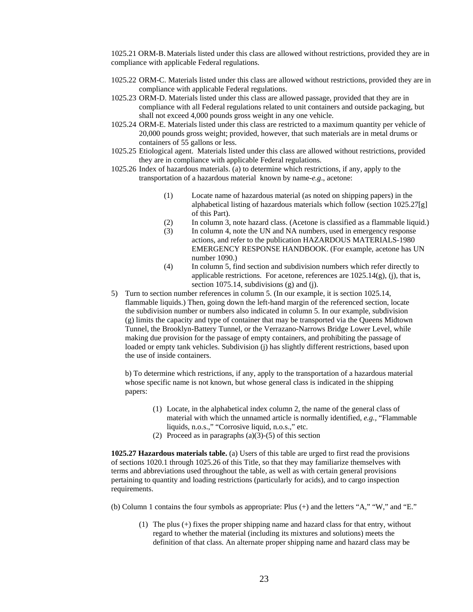1025.21 ORM-B. Materials listed under this class are allowed without restrictions, provided they are in compliance with applicable Federal regulations.

- 1025.22 ORM-C. Materials listed under this class are allowed without restrictions, provided they are in compliance with applicable Federal regulations.
- 1025.23 ORM-D. Materials listed under this class are allowed passage, provided that they are in compliance with all Federal regulations related to unit containers and outside packaging, but shall not exceed 4,000 pounds gross weight in any one vehicle.
- 1025.24 ORM-E. Materials listed under this class are restricted to a maximum quantity per vehicle of 20,000 pounds gross weight; provided, however, that such materials are in metal drums or containers of 55 gallons or less.
- 1025.25 Etiological agent. Materials listed under this class are allowed without restrictions, provided they are in compliance with applicable Federal regulations.
- 1025.26 Index of hazardous materials. (a) to determine which restrictions, if any, apply to the transportation of a hazardous material known by name-*e.g*., acetone:
	- (1) Locate name of hazardous material (as noted on shipping papers) in the alphabetical listing of hazardous materials which follow (section 1025.27[g] of this Part).
	- (2) In column 3, note hazard class. (Acetone is classified as a flammable liquid.)
	- (3) In column 4, note the UN and NA numbers, used in emergency response actions, and refer to the publication HAZARDOUS MATERIALS-1980 EMERGENCY RESPONSE HANDBOOK. (For example, acetone has UN number 1090.)
	- (4) In column 5, find section and subdivision numbers which refer directly to applicable restrictions. For acetone, references are  $1025.14(g)$ , (j), that is, section 1075.14, subdivisions (g) and (j).
- 5) Turn to section number references in column 5. (In our example, it is section 1025.14, flammable liquids.) Then, going down the left-hand margin of the referenced section, locate the subdivision number or numbers also indicated in column 5. In our example, subdivision (g) limits the capacity and type of container that may be transported via the Queens Midtown Tunnel, the Brooklyn-Battery Tunnel, or the Verrazano-Narrows Bridge Lower Level, while making due provision for the passage of empty containers, and prohibiting the passage of loaded or empty tank vehicles. Subdivision (j) has slightly different restrictions, based upon the use of inside containers.

b) To determine which restrictions, if any, apply to the transportation of a hazardous material whose specific name is not known, but whose general class is indicated in the shipping papers:

- (1) Locate, in the alphabetical index column 2, the name of the general class of material with which the unnamed article is normally identified, *e.g.,* "Flammable liquids, n.o.s.," "Corrosive liquid, n.o.s.," etc.
- (2) Proceed as in paragraphs  $(a)(3)-(5)$  of this section

**1025.27 Hazardous materials table.** (a) Users of this table are urged to first read the provisions of sections 1020.1 through 1025.26 of this Title, so that they may familiarize themselves with terms and abbreviations used throughout the table, as well as with certain general provisions pertaining to quantity and loading restrictions (particularly for acids), and to cargo inspection requirements.

(b) Column 1 contains the four symbols as appropriate: Plus (+) and the letters "A," "W," and "E."

(1) The plus (+) fixes the proper shipping name and hazard class for that entry, without regard to whether the material (including its mixtures and solutions) meets the definition of that class. An alternate proper shipping name and hazard class may be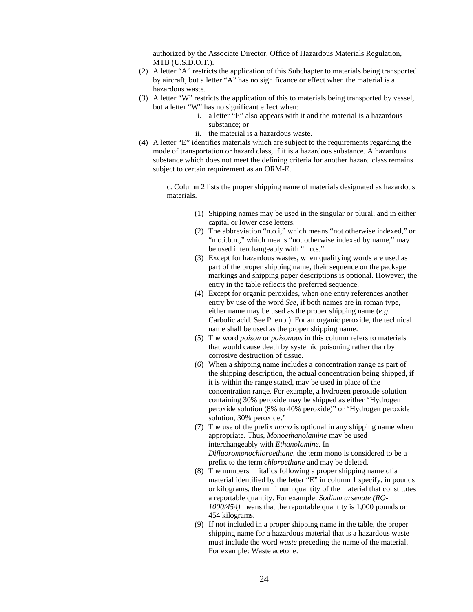authorized by the Associate Director, Office of Hazardous Materials Regulation, MTB (U.S.D.O.T.).

- (2) A letter "A" restricts the application of this Subchapter to materials being transported by aircraft, but a letter "A" has no significance or effect when the material is a hazardous waste.
- (3) A letter "W" restricts the application of this to materials being transported by vessel, but a letter "W" has no significant effect when:
	- i. a letter "E" also appears with it and the material is a hazardous substance; or
	- ii. the material is a hazardous waste.
- (4) A letter "E" identifies materials which are subject to the requirements regarding the mode of transportation or hazard class, if it is a hazardous substance. A hazardous substance which does not meet the defining criteria for another hazard class remains subject to certain requirement as an ORM-E.

c. Column 2 lists the proper shipping name of materials designated as hazardous materials.

- (1) Shipping names may be used in the singular or plural, and in either capital or lower case letters.
- (2) The abbreviation "n.o.i," which means "not otherwise indexed," or "n.o.i.b.n.," which means "not otherwise indexed by name," may be used interchangeably with "n.o.s."
- (3) Except for hazardous wastes, when qualifying words are used as part of the proper shipping name, their sequence on the package markings and shipping paper descriptions is optional. However, the entry in the table reflects the preferred sequence.
- (4) Except for organic peroxides, when one entry references another entry by use of the word *See,* if both names are in roman type, either name may be used as the proper shipping name (*e.g.*  Carbolic acid. See Phenol). For an organic peroxide, the technical name shall be used as the proper shipping name.
- (5) The word *poison* or *poisonous* in this column refers to materials that would cause death by systemic poisoning rather than by corrosive destruction of tissue.
- (6) When a shipping name includes a concentration range as part of the shipping description, the actual concentration being shipped, if it is within the range stated, may be used in place of the concentration range. For example, a hydrogen peroxide solution containing 30% peroxide may be shipped as either "Hydrogen peroxide solution (8% to 40% peroxide)" or "Hydrogen peroxide solution, 30% peroxide."
- (7) The use of the prefix *mono* is optional in any shipping name when appropriate. Thus, *Monoethanolamine* may be used interchangeably with *Ethanolamine.* In *Difluoromonochloroethane,* the term mono is considered to be a prefix to the term *chloroethane* and may be deleted.
- (8) The numbers in italics following a proper shipping name of a material identified by the letter "E" in column 1 specify, in pounds or kilograms, the minimum quantity of the material that constitutes a reportable quantity. For example: *Sodium arsenate (RQ-1000/454)* means that the reportable quantity is 1,000 pounds or 454 kilograms.
- (9) If not included in a proper shipping name in the table, the proper shipping name for a hazardous material that is a hazardous waste must include the word *waste* preceding the name of the material. For example: Waste acetone.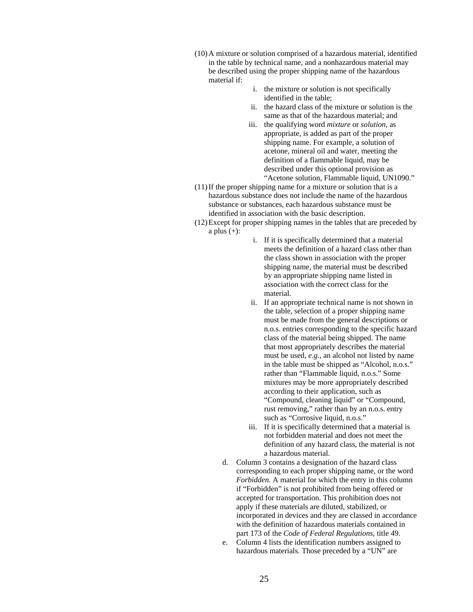- (10)A mixture or solution comprised of a hazardous material, identified in the table by technical name, and a nonhazardous material may be described using the proper shipping name of the hazardous material if:
	- i. the mixture or solution is not specifically identified in the table;
	- ii. the hazard class of the mixture or solution is the same as that of the hazardous material; and
	- iii. the qualifying word *mixture* or *solution,* as appropriate, is added as part of the proper shipping name. For example, a solution of acetone, mineral oil and water, meeting the definition of a flammable liquid, may be described under this optional provision as "Acetone solution, Flammable liquid, UN1090."
- (11)If the proper shipping name for a mixture or solution that is a hazardous substance does not include the name of the hazardous substance or substances, each hazardous substance must be identified in association with the basic description.
- (12)Except for proper shipping names in the tables that are preceded by a plus  $(+)$ :
	- i. If it is specifically determined that a material meets the definition of a hazard class other than the class shown in association with the proper shipping name, the material must be described by an appropriate shipping name listed in association with the correct class for the material.
	- ii. If an appropriate technical name is not shown in the table, selection of a proper shipping name must be made from the general descriptions or n.o.s. entries corresponding to the specific hazard class of the material being shipped. The name that most appropriately describes the material must be used, *e.g.,* an alcohol not listed by name in the table must be shipped as "Alcohol, n.o.s." rather than "Flammable liquid, n.o.s." Some mixtures may be more appropriately described according to their application, such as "Compound, cleaning liquid" or "Compound, rust removing," rather than by an n.o.s. entry such as "Corrosive liquid, n.o.s."
	- iii. If it is specifically determined that a material is not forbidden material and does not meet the definition of any hazard class, the material is not a hazardous material.
	- d. Column 3 contains a designation of the hazard class corresponding to each proper shipping name, or the word *Forbidden.* A material for which the entry in this column if "Forbidden" is not prohibited from being offered or accepted for transportation. This prohibition does not apply if these materials are diluted, stabilized, or incorporated in devices and they are classed in accordance with the definition of hazardous materials contained in part 173 of the *Code of Federal Regulations,* title 49.
	- e. Column 4 lists the identification numbers assigned to hazardous materials. Those preceded by a "UN" are